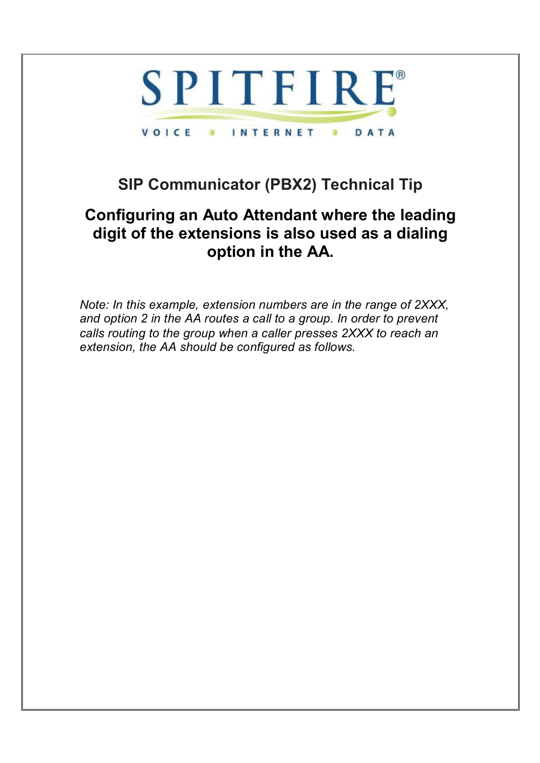

## **SIP Communicator (PBX2) Technical Tip**

## **Configuring an Auto Attendant where the leading digit of the extensions is also used as a dialing option in the AA.**

*Note: In this example, extension numbers are in the range of 2XXX, and option 2 in the AA routes a call to a group. In order to prevent calls routing to the group when a caller presses 2XXX to reach an extension, the AA should be configured as follows.*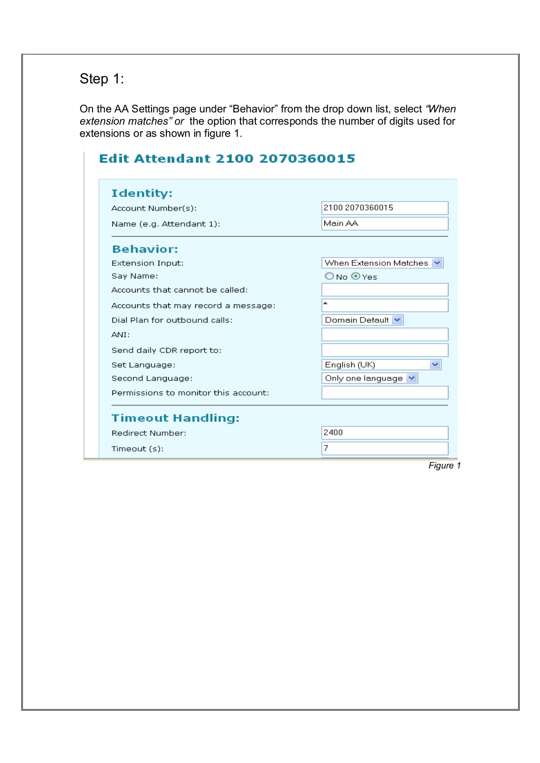## Step 1:

On the AA Settings page under "Behavior" from the drop down list, select *"When extension matches" or* the option that corresponds the number of digits used for extensions or as shown in figure 1.

| <b>Identity:</b>                     |                          |
|--------------------------------------|--------------------------|
| Account Number(s):                   | 2100 2070360015          |
| Name (e.g. Attendant 1):             | Main AA                  |
| <b>Behavior:</b>                     |                          |
| <b>Extension Input:</b>              | When Extension Matches   |
| Say Name:                            | ONo ⊙Yes                 |
| Accounts that cannot be called:      |                          |
| Accounts that may record a message:  | ×                        |
| Dial Plan for outbound calls:        | Domain Default V         |
| ANI:                                 |                          |
| Send daily CDR report to:            |                          |
| Set Language:                        | English (UK)             |
| Second Language:                     | Only one language $\vee$ |
| Permissions to monitor this account: |                          |
| <b>Timeout Handling:</b>             |                          |
| <b>Redirect Number:</b>              | 2400                     |
| Timeout (s):                         | 7                        |

*Figure 1*